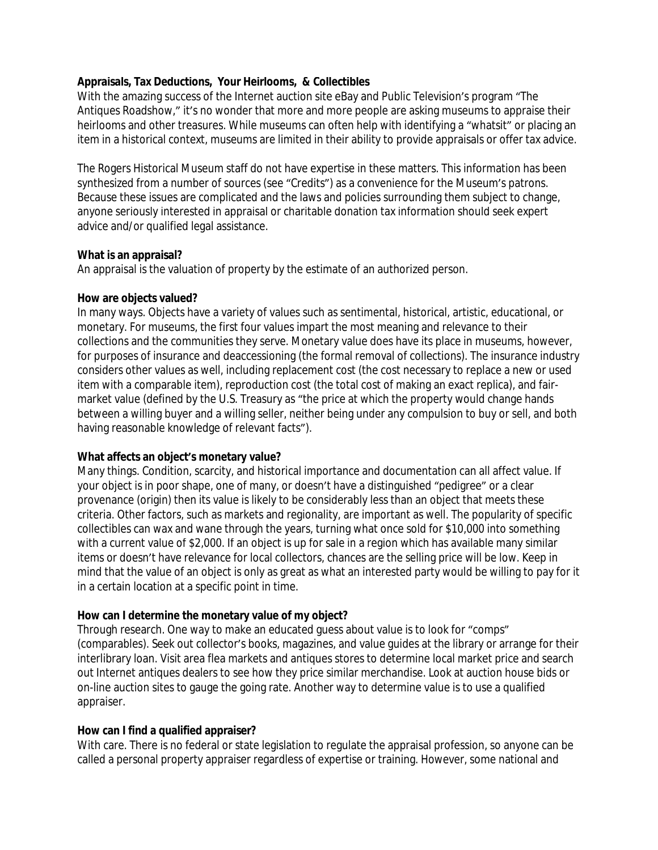## **Appraisals, Tax Deductions, Your Heirlooms, & Collectibles**

With the amazing success of the Internet auction site eBay and Public Television's program "The Antiques Roadshow," it's no wonder that more and more people are asking museums to appraise their heirlooms and other treasures. While museums can often help with identifying a "whatsit" or placing an item in a historical context, museums are limited in their ability to provide appraisals or offer tax advice.

The Rogers Historical Museum staff do not have expertise in these matters. This information has been synthesized from a number of sources (see "Credits") as a convenience for the Museum's patrons. Because these issues are complicated and the laws and policies surrounding them subject to change, anyone seriously interested in appraisal or charitable donation tax information should seek expert advice and/or qualified legal assistance.

#### **What is an appraisal?**

An appraisal is the valuation of property by the estimate of an authorized person.

#### **How are objects valued?**

In many ways. Objects have a variety of values such as sentimental, historical, artistic, educational, or monetary. For museums, the first four values impart the most meaning and relevance to their collections and the communities they serve. Monetary value does have its place in museums, however, for purposes of insurance and deaccessioning (the formal removal of collections). The insurance industry considers other values as well, including replacement cost (the cost necessary to replace a new or used item with a comparable item), reproduction cost (the total cost of making an exact replica), and fairmarket value (defined by the U.S. Treasury as "the price at which the property would change hands between a willing buyer and a willing seller, neither being under any compulsion to buy or sell, and both having reasonable knowledge of relevant facts").

### **What affects an object's monetary value?**

Many things. Condition, scarcity, and historical importance and documentation can all affect value. If your object is in poor shape, one of many, or doesn't have a distinguished "pedigree" or a clear provenance (origin) then its value is likely to be considerably less than an object that meets these criteria. Other factors, such as markets and regionality, are important as well. The popularity of specific collectibles can wax and wane through the years, turning what once sold for \$10,000 into something with a current value of \$2,000. If an object is up for sale in a region which has available many similar items or doesn't have relevance for local collectors, chances are the selling price will be low. Keep in mind that the value of an object is only as great as what an interested party would be willing to pay for it in a certain location at a specific point in time.

### **How can I determine the monetary value of my object?**

Through research. One way to make an educated guess about value is to look for "comps" (comparables). Seek out collector's books, magazines, and value guides at the library or arrange for their interlibrary loan. Visit area flea markets and antiques stores to determine local market price and search out Internet antiques dealers to see how they price similar merchandise. Look at auction house bids or on-line auction sites to gauge the going rate. Another way to determine value is to use a qualified appraiser.

### **How can I find a qualified appraiser?**

With care. There is no federal or state legislation to regulate the appraisal profession, so anyone can be called a personal property appraiser regardless of expertise or training. However, some national and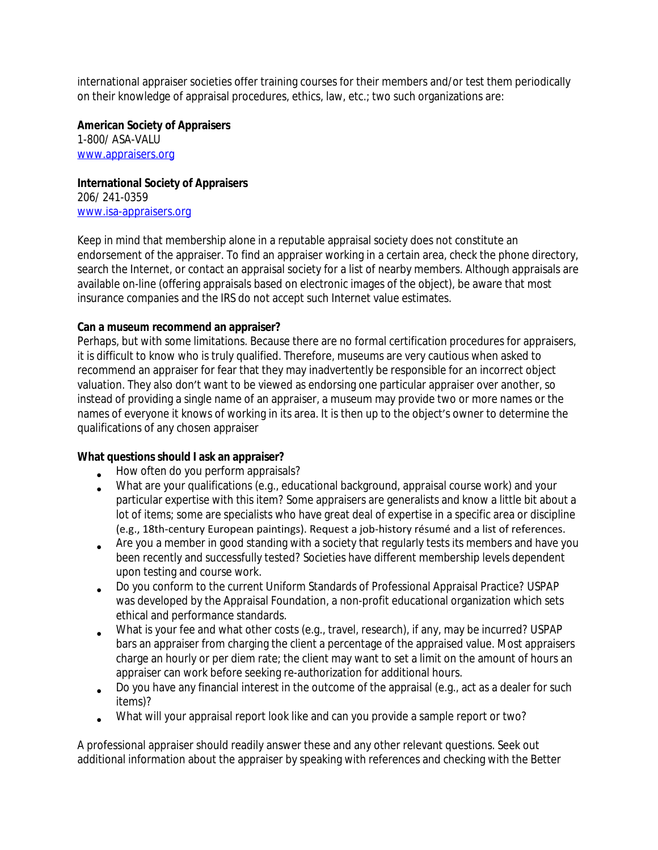international appraiser societies offer training courses for their members and/or test them periodically on their knowledge of appraisal procedures, ethics, law, etc.; two such organizations are:

**American Society of Appraisers**

1-800/ ASA-VALU [www.appraisers.org](http://www.appraisers.org)

**International Society of Appraisers**

206/ 241-0359 [www.isa-appraisers.org](http://www.isa-appraisers.org)

Keep in mind that membership alone in a reputable appraisal society does not constitute an endorsement of the appraiser. To find an appraiser working in a certain area, check the phone directory, search the Internet, or contact an appraisal society for a list of nearby members. Although appraisals are available on-line (offering appraisals based on electronic images of the object), be aware that most insurance companies and the IRS do not accept such Internet value estimates.

### **Can a museum recommend an appraiser?**

Perhaps, but with some limitations. Because there are no formal certification procedures for appraisers, it is difficult to know who is truly qualified. Therefore, museums are very cautious when asked to recommend an appraiser for fear that they may inadvertently be responsible for an incorrect object valuation. They also don't want to be viewed as endorsing one particular appraiser over another, so instead of providing a single name of an appraiser, a museum may provide two or more names or the names of everyone it knows of working in its area. It is then up to the object's owner to determine the qualifications of any chosen appraiser

### **What questions should I ask an appraiser?**

- How often do you perform appraisals?
- What are your qualifications (e.g., educational background, appraisal course work) and your particular expertise with this item? Some appraisers are generalists and know a little bit about a lot of items; some are specialists who have great deal of expertise in a specific area or discipline (e.g., 18th-century European paintings). Request a job-history résumé and a list of references.
- Are you a member in good standing with a society that regularly tests its members and have you been recently and successfully tested? Societies have different membership levels dependent upon testing and course work.
- Do you conform to the current Uniform Standards of Professional Appraisal Practice? USPAP was developed by the Appraisal Foundation, a non-profit educational organization which sets ethical and performance standards.
- What is your fee and what other costs (e.g., travel, research), if any, may be incurred? USPAP bars an appraiser from charging the client a percentage of the appraised value. Most appraisers charge an hourly or per diem rate; the client may want to set a limit on the amount of hours an appraiser can work before seeking re-authorization for additional hours.
- Do you have any financial interest in the outcome of the appraisal (e.g., act as a dealer for such items)?
- What will your appraisal report look like and can you provide a sample report or two?

A professional appraiser should readily answer these and any other relevant questions. Seek out additional information about the appraiser by speaking with references and checking with the Better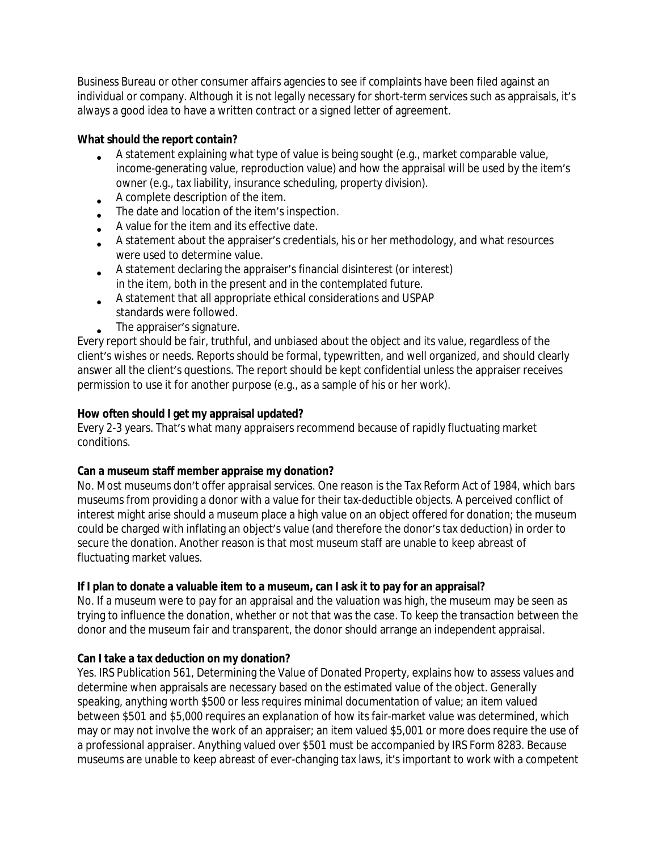Business Bureau or other consumer affairs agencies to see if complaints have been filed against an individual or company. Although it is not legally necessary for short-term services such as appraisals, it's always a good idea to have a written contract or a signed letter of agreement.

## **What should the report contain?**

- A statement explaining what type of value is being sought (e.g., market comparable value, income-generating value, reproduction value) and how the appraisal will be used by the item's owner (e.g., tax liability, insurance scheduling, property division).
- A complete description of the item.
- $\bullet$ The date and location of the item's inspection.
- A value for the item and its effective date.
- A statement about the appraiser's credentials, his or her methodology, and what resources were used to determine value.
- A statement declaring the appraiser's financial disinterest (or interest) in the item, both in the present and in the contemplated future.
- A statement that all appropriate ethical considerations and USPAP standards were followed.
- The appraiser's signature.

Every report should be fair, truthful, and unbiased about the object and its value, regardless of the client's wishes or needs. Reports should be formal, typewritten, and well organized, and should clearly answer all the client's questions. The report should be kept confidential unless the appraiser receives permission to use it for another purpose (e.g., as a sample of his or her work).

# **How often should I get my appraisal updated?**

Every 2-3 years. That's what many appraisers recommend because of rapidly fluctuating market conditions.

# **Can a museum staff member appraise my donation?**

No. Most museums don't offer appraisal services. One reason is the Tax Reform Act of 1984, which bars museums from providing a donor with a value for their tax-deductible objects. A perceived conflict of interest might arise should a museum place a high value on an object offered for donation; the museum could be charged with inflating an object's value (and therefore the donor's tax deduction) in order to secure the donation. Another reason is that most museum staff are unable to keep abreast of fluctuating market values.

# **If I plan to donate a valuable item to a museum, can I ask it to pay for an appraisal?**

No. If a museum were to pay for an appraisal and the valuation was high, the museum may be seen as trying to influence the donation, whether or not that was the case. To keep the transaction between the donor and the museum fair and transparent, the donor should arrange an independent appraisal.

# **Can I take a tax deduction on my donation?**

Yes. IRS Publication 561, Determining the Value of Donated Property, explains how to assess values and determine when appraisals are necessary based on the estimated value of the object. Generally speaking, anything worth \$500 or less requires minimal documentation of value; an item valued between \$501 and \$5,000 requires an explanation of how its fair-market value was determined, which may or may not involve the work of an appraiser; an item valued \$5,001 or more does require the use of a professional appraiser. Anything valued over \$501 must be accompanied by IRS Form 8283. Because museums are unable to keep abreast of ever-changing tax laws, it's important to work with a competent